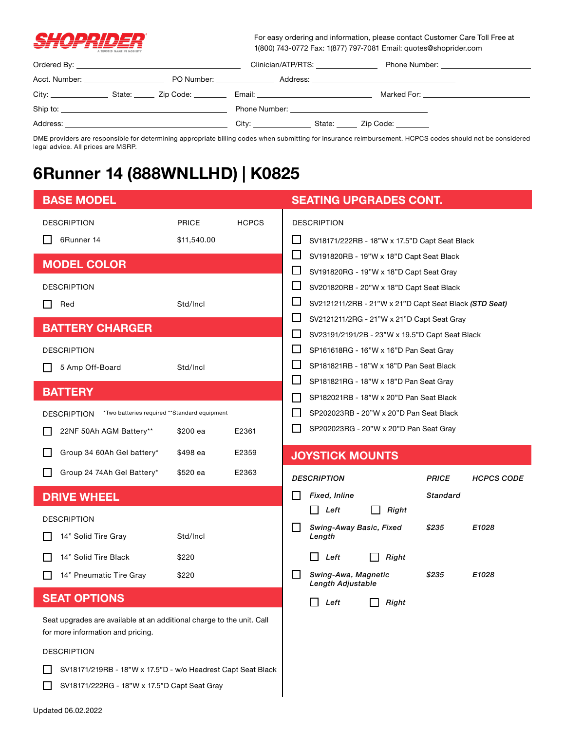

For easy ordering and information, please contact Customer Care Toll Free at 1(800) 743-0772 Fax: 1(877) 797-7081 Email: quotes@shoprider.com

|                                                                                                                                                                                                                                |                                                                                                                | Clinician/ATP/RTS: | Phone Number: National Assembly and the Contract of the Contract of the Contract of the Contract of the Contract of the Contract of the Contract of the Contract of the Contract of the Contract of the Contract of the Contra |
|--------------------------------------------------------------------------------------------------------------------------------------------------------------------------------------------------------------------------------|----------------------------------------------------------------------------------------------------------------|--------------------|--------------------------------------------------------------------------------------------------------------------------------------------------------------------------------------------------------------------------------|
| Acct. Number: <u>__________________________</u>                                                                                                                                                                                | PO Number: The contract of the contract of the contract of the contract of the contract of the contract of the |                    |                                                                                                                                                                                                                                |
|                                                                                                                                                                                                                                |                                                                                                                |                    | Marked For: <u>_____________</u>                                                                                                                                                                                               |
| Ship to: the contract of the contract of the contract of the contract of the contract of the contract of the contract of the contract of the contract of the contract of the contract of the contract of the contract of the c |                                                                                                                |                    |                                                                                                                                                                                                                                |
| Address:                                                                                                                                                                                                                       |                                                                                                                |                    | State: <u>Zip Code:</u>                                                                                                                                                                                                        |

DME providers are responsible for determining appropriate billing codes when submitting for insurance reimbursement. HCPCS codes should not be considered legal advice. All prices are MSRP.

## **6Runner 14 (888WNLLHD) | K0825**

| <b>BASE MODEL</b>                                                                                          |              |                                                                 | <b>SEATING UPGRADES CONT.</b>                                                            |                                   |  |
|------------------------------------------------------------------------------------------------------------|--------------|-----------------------------------------------------------------|------------------------------------------------------------------------------------------|-----------------------------------|--|
| <b>DESCRIPTION</b>                                                                                         | <b>PRICE</b> | <b>HCPCS</b>                                                    | <b>DESCRIPTION</b>                                                                       |                                   |  |
| 6Runner 14                                                                                                 | \$11,540.00  |                                                                 | $\Box$<br>SV18171/222RB - 18"W x 17.5"D Capt Seat Black                                  |                                   |  |
| <b>MODEL COLOR</b>                                                                                         |              |                                                                 | $\mathbf{L}$<br>SV191820RB - 19"W x 18"D Capt Seat Black<br>$\Box$                       |                                   |  |
| <b>DESCRIPTION</b>                                                                                         |              |                                                                 | SV191820RG - 19"W x 18"D Capt Seat Gray<br>ப<br>SV201820RB - 20"W x 18"D Capt Seat Black |                                   |  |
| Red                                                                                                        | Std/Incl     |                                                                 | $\sqcup$<br>SV2121211/2RB - 21"W x 21"D Capt Seat Black (STD Seat)                       |                                   |  |
|                                                                                                            |              |                                                                 | ப<br>SV2121211/2RG - 21"W x 21"D Capt Seat Gray                                          |                                   |  |
| <b>BATTERY CHARGER</b>                                                                                     |              | $\mathsf{L}$<br>SV23191/2191/2B - 23"W x 19.5"D Capt Seat Black |                                                                                          |                                   |  |
| <b>DESCRIPTION</b>                                                                                         |              |                                                                 | $\Box$<br>SP161618RG - 16"W x 16"D Pan Seat Gray                                         |                                   |  |
| 5 Amp Off-Board                                                                                            | Std/Incl     |                                                                 | ப<br>SP181821RB - 18"W x 18"D Pan Seat Black                                             |                                   |  |
|                                                                                                            |              |                                                                 | SP181821RG - 18"W x 18"D Pan Seat Gray                                                   |                                   |  |
| <b>BATTERY</b>                                                                                             |              |                                                                 | SP182021RB - 18"W x 20"D Pan Seat Black<br>$\mathbf{I}$                                  |                                   |  |
| *Two batteries required **Standard equipment<br><b>DESCRIPTION</b>                                         |              | SP202023RB - 20"W x 20"D Pan Seat Black                         |                                                                                          |                                   |  |
| 22NF 50Ah AGM Battery**                                                                                    | \$200 ea     | E2361                                                           | SP202023RG - 20"W x 20"D Pan Seat Gray                                                   |                                   |  |
| Group 34 60Ah Gel battery*                                                                                 | \$498 ea     | E2359                                                           | <b>JOYSTICK MOUNTS</b>                                                                   |                                   |  |
|                                                                                                            |              |                                                                 |                                                                                          |                                   |  |
| Group 24 74Ah Gel Battery*                                                                                 | \$520 ea     | E2363                                                           | <b>DESCRIPTION</b>                                                                       | <b>PRICE</b><br><b>HCPCS CODE</b> |  |
| <b>DRIVE WHEEL</b>                                                                                         |              |                                                                 | Fixed, Inline                                                                            | Standard                          |  |
|                                                                                                            |              |                                                                 | $\Box$<br>Left<br>Right                                                                  |                                   |  |
| <b>DESCRIPTION</b><br>14" Solid Tire Gray                                                                  | Std/Incl     |                                                                 | l 1<br>Swing-Away Basic, Fixed<br>Length                                                 | \$235<br>E1028                    |  |
| 14" Solid Tire Black                                                                                       | \$220        |                                                                 | Left<br>Right                                                                            |                                   |  |
| 14" Pneumatic Tire Gray                                                                                    | \$220        |                                                                 | Swing-Awa, Magnetic<br>l 1<br>Length Adjustable                                          | \$235<br>E1028                    |  |
| <b>SEAT OPTIONS</b>                                                                                        |              |                                                                 | Right<br>Left                                                                            |                                   |  |
| Seat upgrades are available at an additional charge to the unit. Call<br>for more information and pricing. |              |                                                                 |                                                                                          |                                   |  |
| <b>DESCRIPTION</b>                                                                                         |              |                                                                 |                                                                                          |                                   |  |
| SV18171/219RB - 18"W x 17.5"D - w/o Headrest Capt Seat Black                                               |              |                                                                 |                                                                                          |                                   |  |